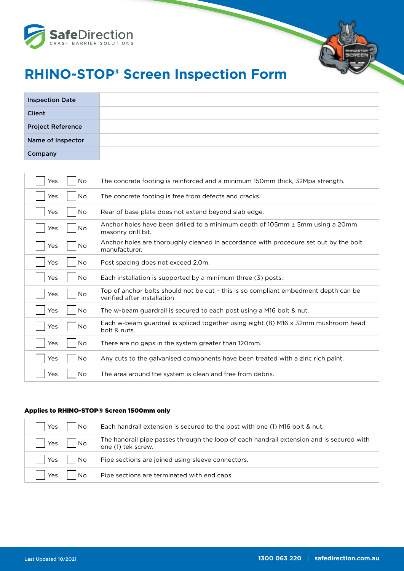

# **RHINO-STOP® Screen Inspection Form**

| <b>Inspection Date</b>   |  |
|--------------------------|--|
| <b>Client</b>            |  |
| <b>Project Reference</b> |  |
| Name of Inspector        |  |
| Company                  |  |

| <b>No</b><br>Yes | The concrete footing is reinforced and a minimum 150mm thick, 32Mpa strength.                                      |
|------------------|--------------------------------------------------------------------------------------------------------------------|
| <b>No</b><br>Yes | The concrete footing is free from defects and cracks.                                                              |
| <b>No</b><br>Yes | Rear of base plate does not extend beyond slab edge.                                                               |
| No<br>Yes        | Anchor holes have been drilled to a minimum depth of 105mm ± 5mm using a 20mm<br>masonry drill bit.                |
| No<br>Yes        | Anchor holes are thoroughly cleaned in accordance with procedure set out by the bolt<br>manufacturer.              |
| No<br>Yes        | Post spacing does not exceed 2.0m.                                                                                 |
| No<br>Yes        | Each installation is supported by a minimum three (3) posts.                                                       |
| No<br>Yes        | Top of anchor bolts should not be cut - this is so compliant embedment depth can be<br>verified after installation |
| No.<br>Yes       | The w-beam guardrail is secured to each post using a M16 bolt & nut.                                               |
| <b>No</b><br>Yes | Each w-beam guardrail is spliced together using eight (8) M16 x 32mm mushroom head<br>bolt & nuts.                 |
| <b>No</b><br>Yes | There are no gaps in the system greater than 120mm.                                                                |
| No<br>Yes        | Any cuts to the galvanised components have been treated with a zinc rich paint.                                    |
| No<br>Yes        | The area around the system is clean and free from debris.                                                          |

#### Applies to RHINO-STOP® Screen 1500mm only

| No<br>Yes        | Each handrail extension is secured to the post with one (1) M16 bolt & nut.                                    |
|------------------|----------------------------------------------------------------------------------------------------------------|
| No<br>Yes        | The handrail pipe passes through the loop of each handrail extension and is secured with<br>one (1) tek screw. |
| <b>No</b><br>Yes | Pipe sections are joined using sleeve connectors.                                                              |
| <b>No</b><br>Yes | Pipe sections are terminated with end caps.                                                                    |